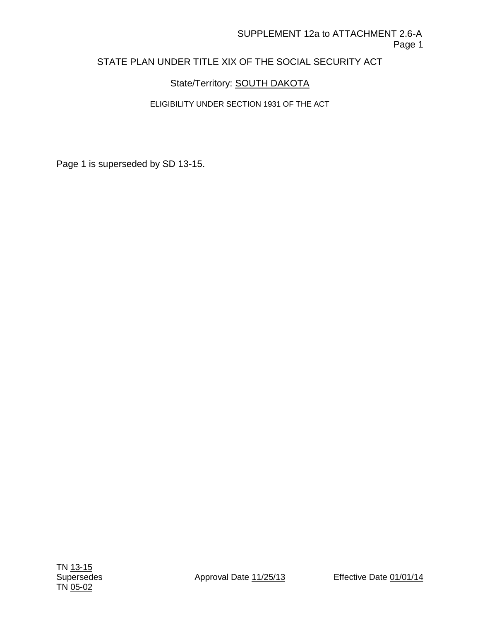## SUPPLEMENT 12a to ATTACHMENT 2.6-A Page 1

# STATE PLAN UNDER TITLE XIX OF THE SOCIAL SECURITY ACT

# State/Territory: **SOUTH DAKOTA**

### ELIGIBILITY UNDER SECTION 1931 OF THE ACT

Page 1 is superseded by SD 13-15.